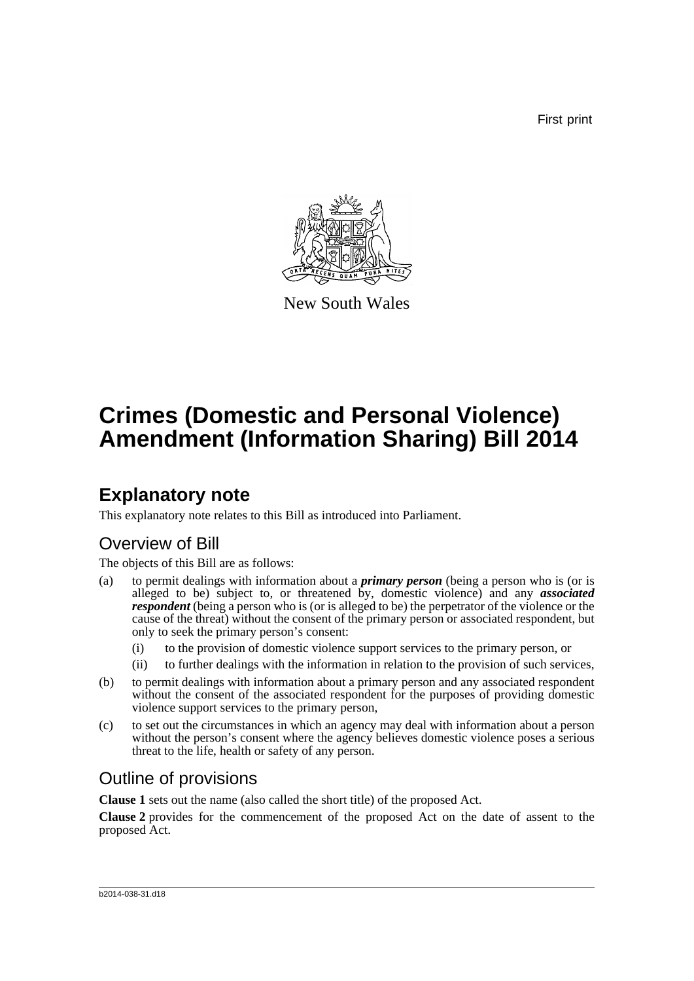First print



New South Wales

# **Crimes (Domestic and Personal Violence) Amendment (Information Sharing) Bill 2014**

# **Explanatory note**

This explanatory note relates to this Bill as introduced into Parliament.

## Overview of Bill

The objects of this Bill are as follows:

- (a) to permit dealings with information about a *primary person* (being a person who is (or is alleged to be) subject to, or threatened by, domestic violence) and any *associated respondent* (being a person who is (or is alleged to be) the perpetrator of the violence or the cause of the threat) without the consent of the primary person or associated respondent, but only to seek the primary person's consent:
	- (i) to the provision of domestic violence support services to the primary person, or
	- (ii) to further dealings with the information in relation to the provision of such services,
- (b) to permit dealings with information about a primary person and any associated respondent without the consent of the associated respondent for the purposes of providing domestic violence support services to the primary person,
- (c) to set out the circumstances in which an agency may deal with information about a person without the person's consent where the agency believes domestic violence poses a serious threat to the life, health or safety of any person.

## Outline of provisions

**Clause 1** sets out the name (also called the short title) of the proposed Act.

**Clause 2** provides for the commencement of the proposed Act on the date of assent to the proposed Act.

#### b2014-038-31.d18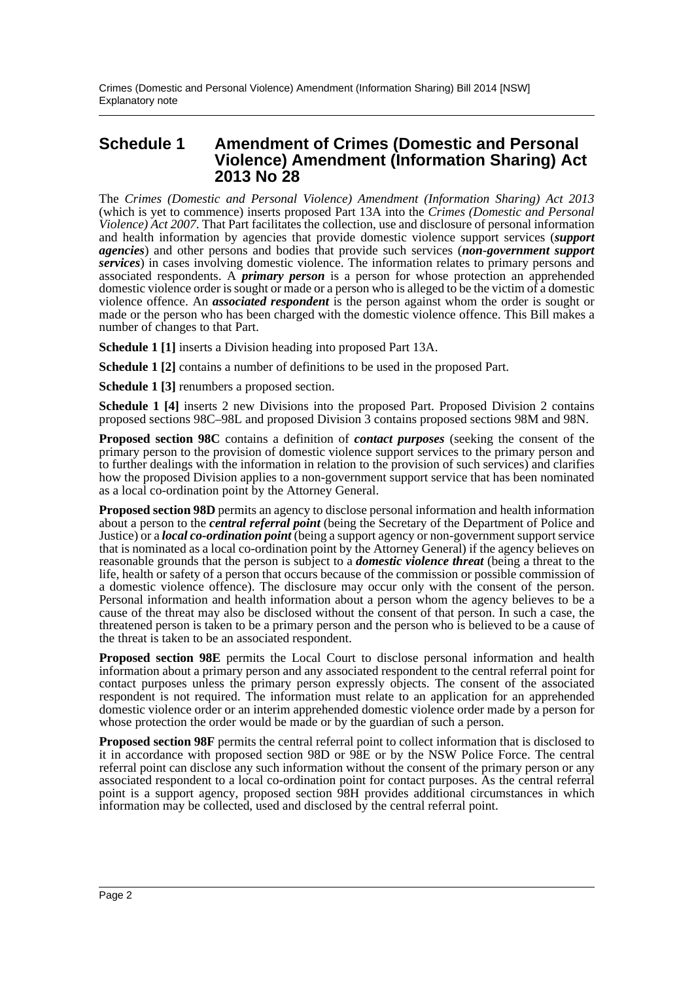### **Schedule 1 Amendment of Crimes (Domestic and Personal Violence) Amendment (Information Sharing) Act 2013 No 28**

The *Crimes (Domestic and Personal Violence) Amendment (Information Sharing) Act 2013* (which is yet to commence) inserts proposed Part 13A into the *Crimes (Domestic and Personal Violence) Act 2007*. That Part facilitates the collection, use and disclosure of personal information and health information by agencies that provide domestic violence support services (*support agencies*) and other persons and bodies that provide such services (*non-government support services*) in cases involving domestic violence. The information relates to primary persons and associated respondents. A *primary person* is a person for whose protection an apprehended domestic violence order is sought or made or a person who is alleged to be the victim of a domestic violence offence. An *associated respondent* is the person against whom the order is sought or made or the person who has been charged with the domestic violence offence. This Bill makes a number of changes to that Part.

**Schedule 1 [1]** inserts a Division heading into proposed Part 13A.

**Schedule 1 [2]** contains a number of definitions to be used in the proposed Part.

**Schedule 1 [3]** renumbers a proposed section.

**Schedule 1 [4]** inserts 2 new Divisions into the proposed Part. Proposed Division 2 contains proposed sections 98C–98L and proposed Division 3 contains proposed sections 98M and 98N.

**Proposed section 98C** contains a definition of *contact purposes* (seeking the consent of the primary person to the provision of domestic violence support services to the primary person and to further dealings with the information in relation to the provision of such services) and clarifies how the proposed Division applies to a non-government support service that has been nominated as a local co-ordination point by the Attorney General.

**Proposed section 98D** permits an agency to disclose personal information and health information about a person to the *central referral point* (being the Secretary of the Department of Police and Justice) or a *local co-ordination point* (being a support agency or non-government support service that is nominated as a local co-ordination point by the Attorney General) if the agency believes on reasonable grounds that the person is subject to a *domestic violence threat* (being a threat to the life, health or safety of a person that occurs because of the commission or possible commission of a domestic violence offence). The disclosure may occur only with the consent of the person. Personal information and health information about a person whom the agency believes to be a cause of the threat may also be disclosed without the consent of that person. In such a case, the threatened person is taken to be a primary person and the person who is believed to be a cause of the threat is taken to be an associated respondent.

**Proposed section 98E** permits the Local Court to disclose personal information and health information about a primary person and any associated respondent to the central referral point for contact purposes unless the primary person expressly objects. The consent of the associated respondent is not required. The information must relate to an application for an apprehended domestic violence order or an interim apprehended domestic violence order made by a person for whose protection the order would be made or by the guardian of such a person.

**Proposed section 98F** permits the central referral point to collect information that is disclosed to it in accordance with proposed section 98D or 98E or by the NSW Police Force. The central referral point can disclose any such information without the consent of the primary person or any associated respondent to a local co-ordination point for contact purposes. As the central referral point is a support agency, proposed section 98H provides additional circumstances in which information may be collected, used and disclosed by the central referral point.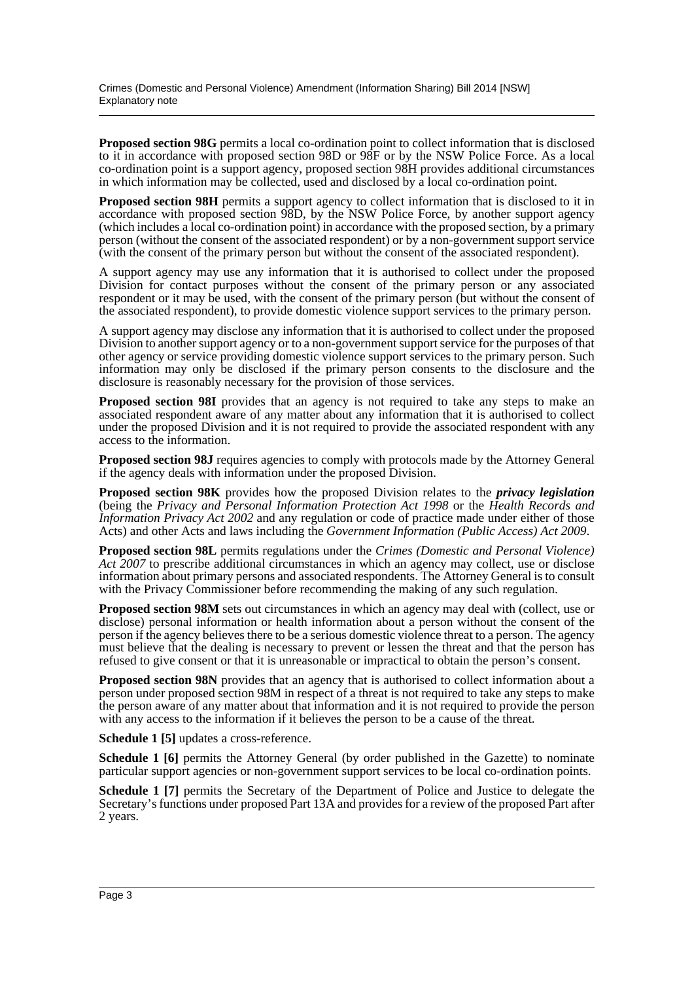**Proposed section 98G** permits a local co-ordination point to collect information that is disclosed to it in accordance with proposed section 98D or 98F or by the NSW Police Force. As a local co-ordination point is a support agency, proposed section 98H provides additional circumstances in which information may be collected, used and disclosed by a local co-ordination point.

**Proposed section 98H** permits a support agency to collect information that is disclosed to it in accordance with proposed section 98D, by the NSW Police Force, by another support agency (which includes a local co-ordination point) in accordance with the proposed section, by a primary person (without the consent of the associated respondent) or by a non-government support service (with the consent of the primary person but without the consent of the associated respondent).

A support agency may use any information that it is authorised to collect under the proposed Division for contact purposes without the consent of the primary person or any associated respondent or it may be used, with the consent of the primary person (but without the consent of the associated respondent), to provide domestic violence support services to the primary person.

A support agency may disclose any information that it is authorised to collect under the proposed Division to another support agency or to a non-government support service for the purposes of that other agency or service providing domestic violence support services to the primary person. Such information may only be disclosed if the primary person consents to the disclosure and the disclosure is reasonably necessary for the provision of those services.

**Proposed section 98I** provides that an agency is not required to take any steps to make an associated respondent aware of any matter about any information that it is authorised to collect under the proposed Division and it is not required to provide the associated respondent with any access to the information.

**Proposed section 98J** requires agencies to comply with protocols made by the Attorney General if the agency deals with information under the proposed Division.

**Proposed section 98K** provides how the proposed Division relates to the *privacy legislation* (being the *Privacy and Personal Information Protection Act 1998* or the *Health Records and Information Privacy Act 2002* and any regulation or code of practice made under either of those Acts) and other Acts and laws including the *Government Information (Public Access) Act 2009*.

**Proposed section 98L** permits regulations under the *Crimes (Domestic and Personal Violence) Act 2007* to prescribe additional circumstances in which an agency may collect, use or disclose information about primary persons and associated respondents. The Attorney General is to consult with the Privacy Commissioner before recommending the making of any such regulation.

**Proposed section 98M** sets out circumstances in which an agency may deal with (collect, use or disclose) personal information or health information about a person without the consent of the person if the agency believes there to be a serious domestic violence threat to a person. The agency must believe that the dealing is necessary to prevent or lessen the threat and that the person has refused to give consent or that it is unreasonable or impractical to obtain the person's consent.

**Proposed section 98N** provides that an agency that is authorised to collect information about a person under proposed section 98M in respect of a threat is not required to take any steps to make the person aware of any matter about that information and it is not required to provide the person with any access to the information if it believes the person to be a cause of the threat.

**Schedule 1 [5]** updates a cross-reference.

**Schedule 1 [6]** permits the Attorney General (by order published in the Gazette) to nominate particular support agencies or non-government support services to be local co-ordination points.

**Schedule 1 [7]** permits the Secretary of the Department of Police and Justice to delegate the Secretary's functions under proposed Part 13A and provides for a review of the proposed Part after 2 years.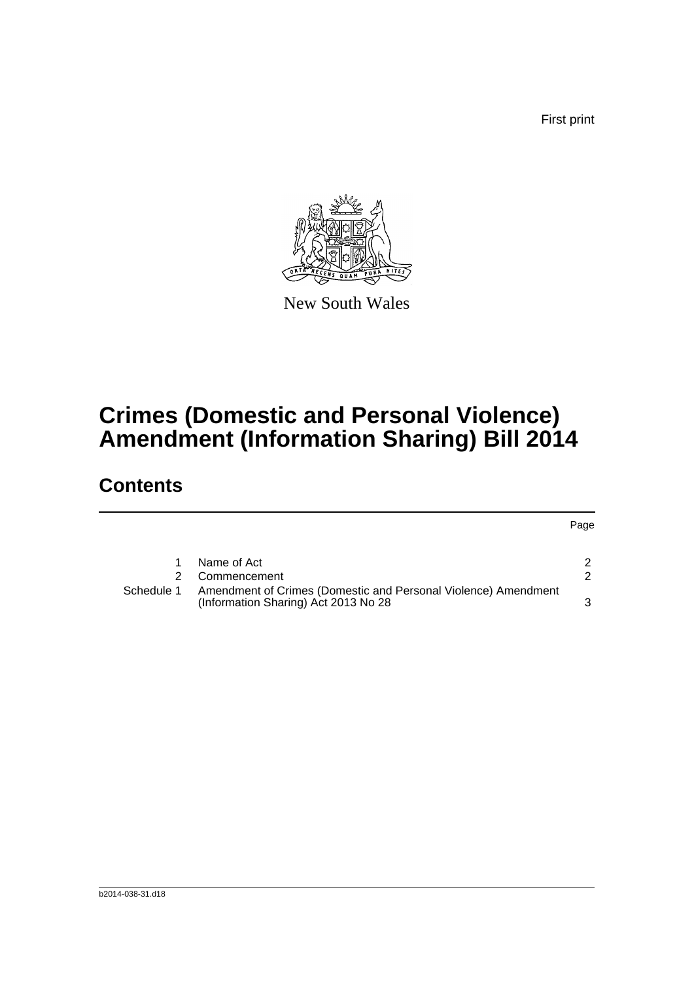First print



New South Wales

# **Crimes (Domestic and Personal Violence) Amendment (Information Sharing) Bill 2014**

## **Contents**

|            |                                                                                                        | Page |
|------------|--------------------------------------------------------------------------------------------------------|------|
|            | Name of Act                                                                                            |      |
|            |                                                                                                        |      |
|            | Commencement                                                                                           | າ    |
| Schedule 1 | Amendment of Crimes (Domestic and Personal Violence) Amendment<br>(Information Sharing) Act 2013 No 28 | ີ    |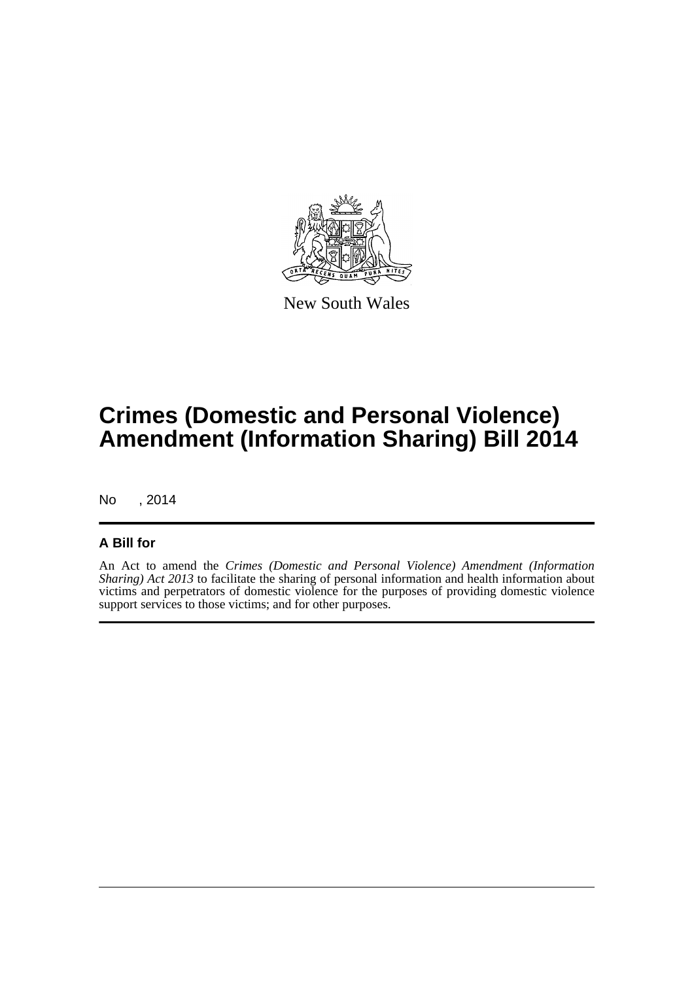

New South Wales

# **Crimes (Domestic and Personal Violence) Amendment (Information Sharing) Bill 2014**

No , 2014

### **A Bill for**

An Act to amend the *Crimes (Domestic and Personal Violence) Amendment (Information Sharing) Act 2013* to facilitate the sharing of personal information and health information about victims and perpetrators of domestic violence for the purposes of providing domestic violence support services to those victims; and for other purposes.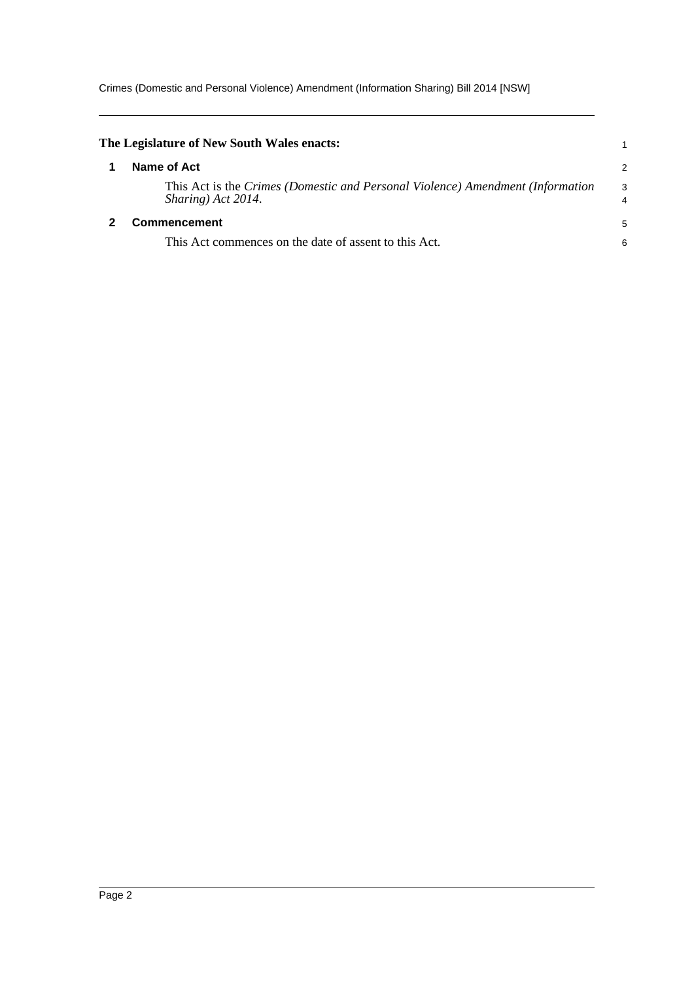Crimes (Domestic and Personal Violence) Amendment (Information Sharing) Bill 2014 [NSW]

<span id="page-5-1"></span><span id="page-5-0"></span>

| The Legislature of New South Wales enacts:                                                           |                     |
|------------------------------------------------------------------------------------------------------|---------------------|
| Name of Act                                                                                          | $\overline{2}$      |
| This Act is the Crimes (Domestic and Personal Violence) Amendment (Information<br>Sharing) Act 2014. | 3<br>$\overline{4}$ |
| <b>Commencement</b>                                                                                  |                     |
| This Act commences on the date of assent to this Act.                                                | 6                   |
|                                                                                                      |                     |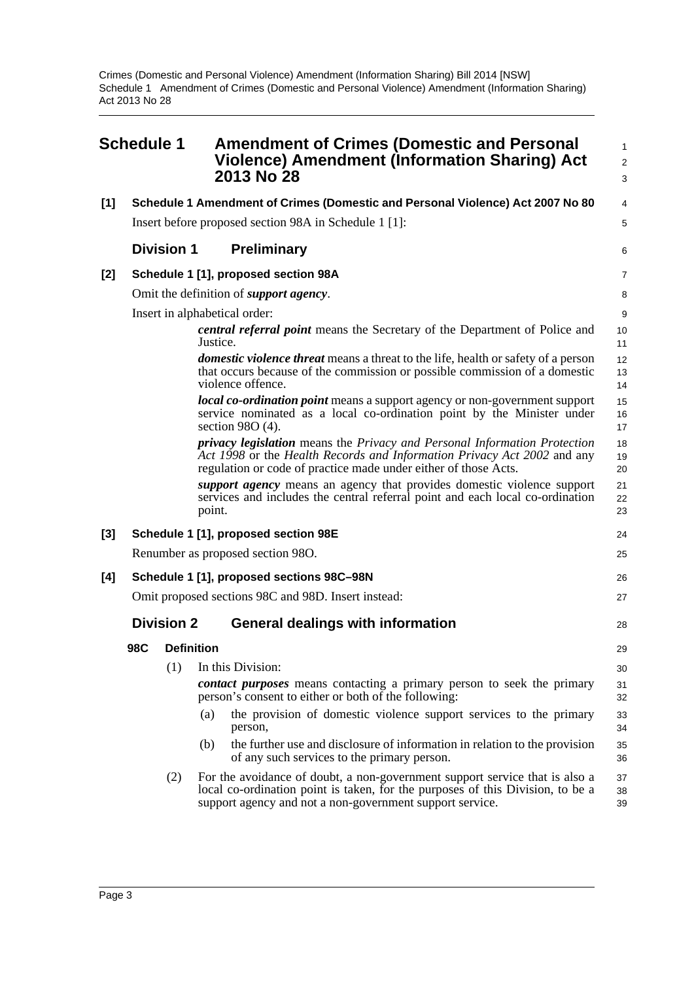<span id="page-6-0"></span>

|     | <b>Schedule 1</b>                                                              |                   |          | <b>Amendment of Crimes (Domestic and Personal</b><br>Violence) Amendment (Information Sharing) Act<br>2013 No 28                                                                                                          | 1<br>$\overline{2}$<br>3 |
|-----|--------------------------------------------------------------------------------|-------------------|----------|---------------------------------------------------------------------------------------------------------------------------------------------------------------------------------------------------------------------------|--------------------------|
| [1] | Schedule 1 Amendment of Crimes (Domestic and Personal Violence) Act 2007 No 80 |                   |          |                                                                                                                                                                                                                           | 4                        |
|     |                                                                                |                   |          | Insert before proposed section 98A in Schedule 1 [1]:                                                                                                                                                                     | 5                        |
|     |                                                                                | <b>Division 1</b> |          | <b>Preliminary</b>                                                                                                                                                                                                        | 6                        |
| [2] |                                                                                |                   |          | Schedule 1 [1], proposed section 98A                                                                                                                                                                                      | $\overline{7}$           |
|     |                                                                                |                   |          | Omit the definition of <i>support agency</i> .                                                                                                                                                                            | 8                        |
|     |                                                                                |                   |          | Insert in alphabetical order:                                                                                                                                                                                             | 9                        |
|     |                                                                                |                   | Justice. | <i>central referral point</i> means the Secretary of the Department of Police and                                                                                                                                         | 10<br>11                 |
|     |                                                                                |                   |          | <i>domestic violence threat</i> means a threat to the life, health or safety of a person<br>that occurs because of the commission or possible commission of a domestic<br>violence offence.                               | 12<br>13<br>14           |
|     |                                                                                |                   |          | <i>local co-ordination point</i> means a support agency or non-government support<br>service nominated as a local co-ordination point by the Minister under<br>section $98O(4)$ .                                         | 15<br>16<br>17           |
|     |                                                                                |                   |          | privacy legislation means the Privacy and Personal Information Protection<br>Act 1998 or the Health Records and Information Privacy Act 2002 and any<br>regulation or code of practice made under either of those Acts.   | 18<br>19<br>20           |
|     |                                                                                |                   | point.   | support agency means an agency that provides domestic violence support<br>services and includes the central referral point and each local co-ordination                                                                   | 21<br>22<br>23           |
| [3] |                                                                                |                   |          | Schedule 1 [1], proposed section 98E                                                                                                                                                                                      | 24                       |
|     |                                                                                |                   |          | Renumber as proposed section 980.                                                                                                                                                                                         | 25                       |
| [4] |                                                                                |                   |          | Schedule 1 [1], proposed sections 98C-98N                                                                                                                                                                                 | 26                       |
|     |                                                                                |                   |          | Omit proposed sections 98C and 98D. Insert instead:                                                                                                                                                                       | 27                       |
|     |                                                                                | <b>Division 2</b> |          | <b>General dealings with information</b>                                                                                                                                                                                  | 28                       |
|     | 98C                                                                            | <b>Definition</b> |          |                                                                                                                                                                                                                           | 29                       |
|     |                                                                                | (1)               |          | In this Division:                                                                                                                                                                                                         | 30                       |
|     |                                                                                |                   |          | <b><i>contact purposes</i></b> means contacting a primary person to seek the primary<br>person's consent to either or both of the following:                                                                              | 31<br>32                 |
|     |                                                                                |                   | (a)      | the provision of domestic violence support services to the primary<br>person,                                                                                                                                             | 33<br>34                 |
|     |                                                                                |                   | (b)      | the further use and disclosure of information in relation to the provision<br>of any such services to the primary person.                                                                                                 | 35<br>36                 |
|     |                                                                                | (2)               |          | For the avoidance of doubt, a non-government support service that is also a<br>local co-ordination point is taken, for the purposes of this Division, to be a<br>support agency and not a non-government support service. | 37<br>38<br>39           |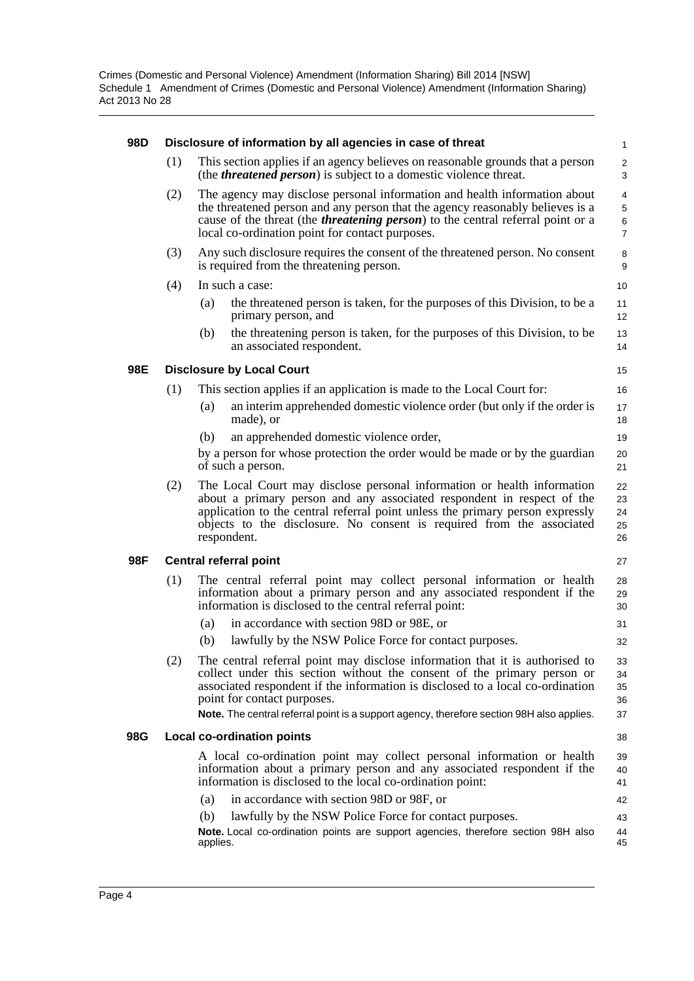| 98D |     | Disclosure of information by all agencies in case of threat                                                                                                                                                                                                                                                                                                           | $\mathbf{1}$                  |
|-----|-----|-----------------------------------------------------------------------------------------------------------------------------------------------------------------------------------------------------------------------------------------------------------------------------------------------------------------------------------------------------------------------|-------------------------------|
|     | (1) | This section applies if an agency believes on reasonable grounds that a person<br>(the <i>threatened person</i> ) is subject to a domestic violence threat.                                                                                                                                                                                                           | $\overline{2}$<br>3           |
|     | (2) | The agency may disclose personal information and health information about<br>the threatened person and any person that the agency reasonably believes is a<br>cause of the threat (the <i>threatening person</i> ) to the central referral point or a<br>local co-ordination point for contact purposes.                                                              | 4<br>5<br>6<br>$\overline{7}$ |
|     | (3) | Any such disclosure requires the consent of the threatened person. No consent<br>is required from the threatening person.                                                                                                                                                                                                                                             | 8<br>9                        |
|     | (4) | In such a case:                                                                                                                                                                                                                                                                                                                                                       | 10                            |
|     |     | the threatened person is taken, for the purposes of this Division, to be a<br>(a)<br>primary person, and                                                                                                                                                                                                                                                              | 11<br>12                      |
|     |     | the threatening person is taken, for the purposes of this Division, to be<br>(b)<br>an associated respondent.                                                                                                                                                                                                                                                         | 13<br>14                      |
| 98E |     | <b>Disclosure by Local Court</b>                                                                                                                                                                                                                                                                                                                                      | 15                            |
|     | (1) | This section applies if an application is made to the Local Court for:                                                                                                                                                                                                                                                                                                | 16                            |
|     |     | an interim apprehended domestic violence order (but only if the order is<br>(a)<br>made), or                                                                                                                                                                                                                                                                          | 17<br>18                      |
|     |     | an apprehended domestic violence order,<br>(b)                                                                                                                                                                                                                                                                                                                        | 19                            |
|     |     | by a person for whose protection the order would be made or by the guardian<br>of such a person.                                                                                                                                                                                                                                                                      | 20<br>21                      |
|     | (2) | The Local Court may disclose personal information or health information<br>about a primary person and any associated respondent in respect of the<br>application to the central referral point unless the primary person expressly<br>objects to the disclosure. No consent is required from the associated<br>respondent.                                            | 22<br>23<br>24<br>25<br>26    |
| 98F |     | <b>Central referral point</b>                                                                                                                                                                                                                                                                                                                                         | 27                            |
|     | (1) | The central referral point may collect personal information or health<br>information about a primary person and any associated respondent if the<br>information is disclosed to the central referral point:                                                                                                                                                           | 28<br>29<br>30                |
|     |     | in accordance with section 98D or 98E, or<br>(a)                                                                                                                                                                                                                                                                                                                      | 31                            |
|     |     | lawfully by the NSW Police Force for contact purposes.<br>(b)                                                                                                                                                                                                                                                                                                         | 32                            |
|     | (2) | The central referral point may disclose information that it is authorised to<br>collect under this section without the consent of the primary person or<br>associated respondent if the information is disclosed to a local co-ordination<br>point for contact purposes.<br>Note. The central referral point is a support agency, therefore section 98H also applies. | 33<br>34<br>35<br>36<br>37    |
| 98G |     | <b>Local co-ordination points</b>                                                                                                                                                                                                                                                                                                                                     | 38                            |
|     |     | A local co-ordination point may collect personal information or health<br>information about a primary person and any associated respondent if the<br>information is disclosed to the local co-ordination point:                                                                                                                                                       | 39<br>40<br>41                |
|     |     | in accordance with section 98D or 98F, or<br>(a)                                                                                                                                                                                                                                                                                                                      | 42                            |
|     |     | lawfully by the NSW Police Force for contact purposes.<br>(b)                                                                                                                                                                                                                                                                                                         | 43                            |
|     |     | Note. Local co-ordination points are support agencies, therefore section 98H also<br>applies.                                                                                                                                                                                                                                                                         | 44<br>45                      |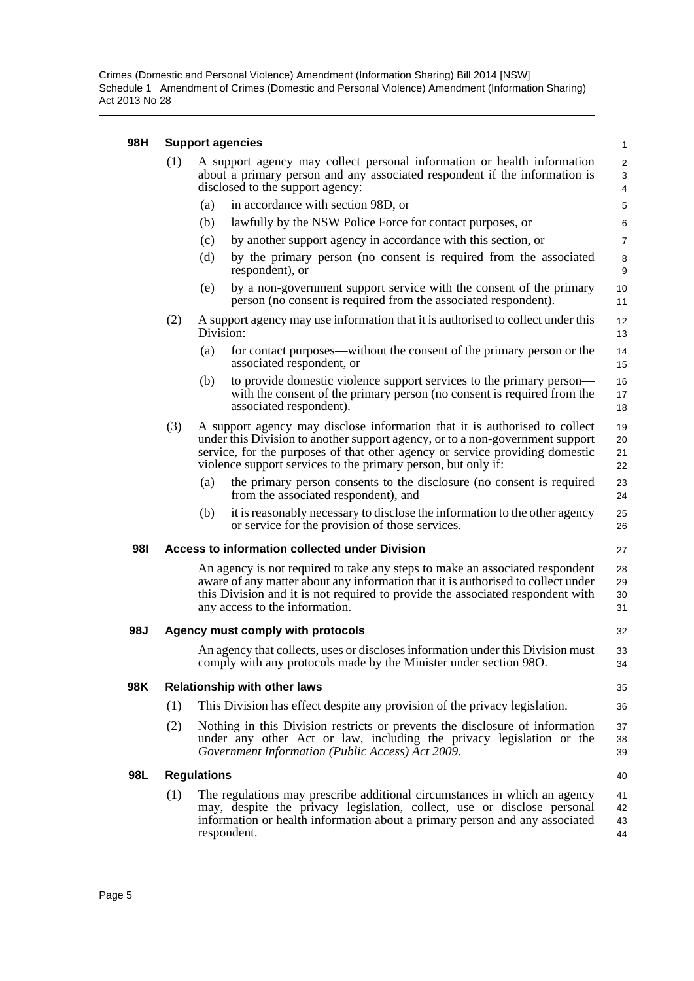Crimes (Domestic and Personal Violence) Amendment (Information Sharing) Bill 2014 [NSW] Schedule 1 Amendment of Crimes (Domestic and Personal Violence) Amendment (Information Sharing) Act 2013 No 28

#### **98H Support agencies**

| 98H        | Support agencies                    |                                                                                                                                                                                                                                                                                                              |                                                                                                                                                                                                                                                                                                              |                      |  |  |
|------------|-------------------------------------|--------------------------------------------------------------------------------------------------------------------------------------------------------------------------------------------------------------------------------------------------------------------------------------------------------------|--------------------------------------------------------------------------------------------------------------------------------------------------------------------------------------------------------------------------------------------------------------------------------------------------------------|----------------------|--|--|
|            | (1)                                 | A support agency may collect personal information or health information<br>about a primary person and any associated respondent if the information is<br>disclosed to the support agency:                                                                                                                    |                                                                                                                                                                                                                                                                                                              |                      |  |  |
|            |                                     | (a)                                                                                                                                                                                                                                                                                                          | in accordance with section 98D, or                                                                                                                                                                                                                                                                           | 5                    |  |  |
|            |                                     | (b)                                                                                                                                                                                                                                                                                                          | lawfully by the NSW Police Force for contact purposes, or                                                                                                                                                                                                                                                    | 6                    |  |  |
|            |                                     | (c)                                                                                                                                                                                                                                                                                                          | by another support agency in accordance with this section, or                                                                                                                                                                                                                                                | $\overline{7}$       |  |  |
|            |                                     | (d)                                                                                                                                                                                                                                                                                                          | by the primary person (no consent is required from the associated<br>respondent), or                                                                                                                                                                                                                         | 8<br>9               |  |  |
|            |                                     | (e)                                                                                                                                                                                                                                                                                                          | by a non-government support service with the consent of the primary<br>person (no consent is required from the associated respondent).                                                                                                                                                                       | 10<br>11             |  |  |
|            | (2)                                 | A support agency may use information that it is authorised to collect under this<br>Division:                                                                                                                                                                                                                |                                                                                                                                                                                                                                                                                                              |                      |  |  |
|            |                                     | (a)                                                                                                                                                                                                                                                                                                          | for contact purposes—without the consent of the primary person or the<br>associated respondent, or                                                                                                                                                                                                           | 14<br>15             |  |  |
|            |                                     | (b)                                                                                                                                                                                                                                                                                                          | to provide domestic violence support services to the primary person—<br>with the consent of the primary person (no consent is required from the<br>associated respondent).                                                                                                                                   | 16<br>17<br>18       |  |  |
|            | (3)                                 |                                                                                                                                                                                                                                                                                                              | A support agency may disclose information that it is authorised to collect<br>under this Division to another support agency, or to a non-government support<br>service, for the purposes of that other agency or service providing domestic<br>violence support services to the primary person, but only if: | 19<br>20<br>21<br>22 |  |  |
|            |                                     | (a)                                                                                                                                                                                                                                                                                                          | the primary person consents to the disclosure (no consent is required<br>from the associated respondent), and                                                                                                                                                                                                | 23<br>24             |  |  |
|            |                                     | (b)                                                                                                                                                                                                                                                                                                          | it is reasonably necessary to disclose the information to the other agency<br>or service for the provision of those services.                                                                                                                                                                                | 25<br>26             |  |  |
| <b>981</b> |                                     |                                                                                                                                                                                                                                                                                                              | Access to information collected under Division                                                                                                                                                                                                                                                               | 27                   |  |  |
|            |                                     | An agency is not required to take any steps to make an associated respondent<br>28<br>aware of any matter about any information that it is authorised to collect under<br>29<br>this Division and it is not required to provide the associated respondent with<br>30<br>any access to the information.<br>31 |                                                                                                                                                                                                                                                                                                              |                      |  |  |
| 98J        | Agency must comply with protocols   |                                                                                                                                                                                                                                                                                                              |                                                                                                                                                                                                                                                                                                              |                      |  |  |
|            |                                     |                                                                                                                                                                                                                                                                                                              | An agency that collects, uses or discloses information under this Division must<br>comply with any protocols made by the Minister under section 98O.                                                                                                                                                         | 33<br>34             |  |  |
| 98K        | <b>Relationship with other laws</b> |                                                                                                                                                                                                                                                                                                              |                                                                                                                                                                                                                                                                                                              |                      |  |  |
|            | (1)                                 |                                                                                                                                                                                                                                                                                                              | This Division has effect despite any provision of the privacy legislation.                                                                                                                                                                                                                                   | 36                   |  |  |
|            | (2)                                 |                                                                                                                                                                                                                                                                                                              | Nothing in this Division restricts or prevents the disclosure of information<br>under any other Act or law, including the privacy legislation or the<br>Government Information (Public Access) Act 2009.                                                                                                     | 37<br>38<br>39       |  |  |
| 98L        |                                     | <b>Regulations</b>                                                                                                                                                                                                                                                                                           |                                                                                                                                                                                                                                                                                                              | 40                   |  |  |
|            | (1)                                 |                                                                                                                                                                                                                                                                                                              | The regulations may prescribe additional circumstances in which an agency<br>may, despite the privacy legislation, collect, use or disclose personal<br>information or health information about a primary person and any associated<br>respondent.                                                           | 41<br>42<br>43<br>44 |  |  |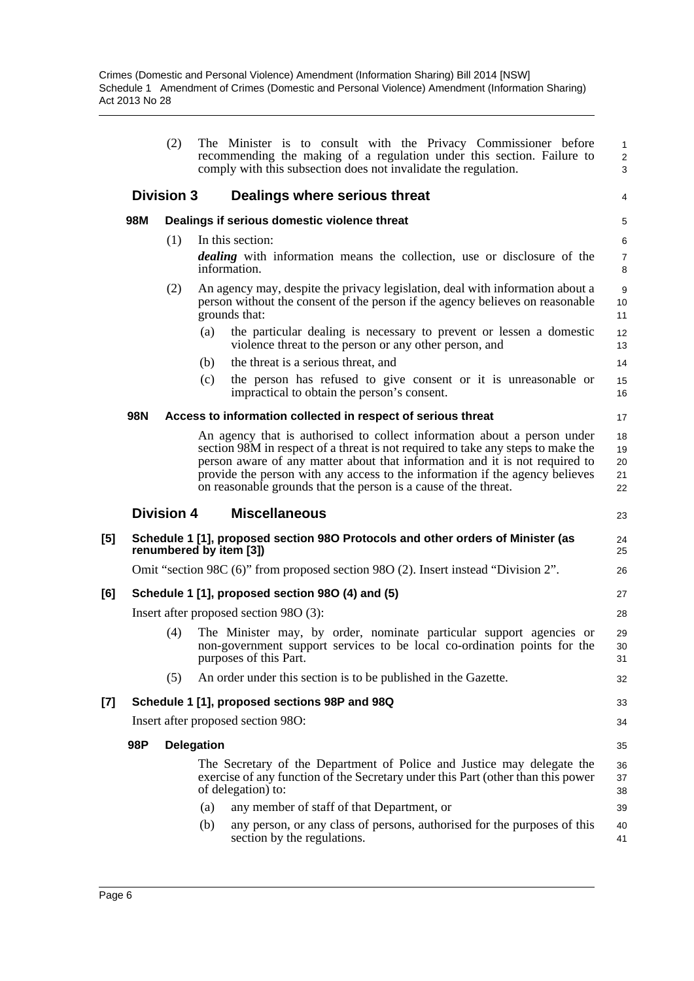|     |     | (2)               | The Minister is to consult with the Privacy Commissioner before<br>recommending the making of a regulation under this section. Failure to<br>comply with this subsection does not invalidate the regulation.                                                                                                                                                                                   | $\overline{1}$<br>$\overline{2}$<br>3 |
|-----|-----|-------------------|------------------------------------------------------------------------------------------------------------------------------------------------------------------------------------------------------------------------------------------------------------------------------------------------------------------------------------------------------------------------------------------------|---------------------------------------|
|     |     | <b>Division 3</b> | Dealings where serious threat                                                                                                                                                                                                                                                                                                                                                                  | 4                                     |
|     | 98M |                   | Dealings if serious domestic violence threat                                                                                                                                                                                                                                                                                                                                                   | 5                                     |
|     |     | (1)               | In this section:                                                                                                                                                                                                                                                                                                                                                                               | 6                                     |
|     |     |                   | <i>dealing</i> with information means the collection, use or disclosure of the<br>information.                                                                                                                                                                                                                                                                                                 | $\overline{7}$<br>8                   |
|     |     | (2)               | An agency may, despite the privacy legislation, deal with information about a<br>person without the consent of the person if the agency believes on reasonable<br>grounds that:                                                                                                                                                                                                                | 9<br>10<br>11                         |
|     |     |                   | the particular dealing is necessary to prevent or lessen a domestic<br>(a)<br>violence threat to the person or any other person, and                                                                                                                                                                                                                                                           | 12<br>13                              |
|     |     |                   | the threat is a serious threat, and<br>(b)                                                                                                                                                                                                                                                                                                                                                     | 14                                    |
|     |     |                   | the person has refused to give consent or it is unreasonable or<br>(c)<br>impractical to obtain the person's consent.                                                                                                                                                                                                                                                                          | 15<br>16                              |
|     | 98N |                   | Access to information collected in respect of serious threat                                                                                                                                                                                                                                                                                                                                   | 17                                    |
|     |     |                   | An agency that is authorised to collect information about a person under<br>section 98M in respect of a threat is not required to take any steps to make the<br>person aware of any matter about that information and it is not required to<br>provide the person with any access to the information if the agency believes<br>on reasonable grounds that the person is a cause of the threat. | 18<br>19<br>20<br>21<br>22            |
|     |     |                   |                                                                                                                                                                                                                                                                                                                                                                                                |                                       |
|     |     | <b>Division 4</b> | <b>Miscellaneous</b>                                                                                                                                                                                                                                                                                                                                                                           | 23                                    |
|     |     |                   | Schedule 1 [1], proposed section 980 Protocols and other orders of Minister (as<br>renumbered by item [3])                                                                                                                                                                                                                                                                                     | 24<br>25                              |
| [5] |     |                   | Omit "section 98C (6)" from proposed section 98O (2). Insert instead "Division 2".                                                                                                                                                                                                                                                                                                             | 26                                    |
|     |     |                   | Schedule 1 [1], proposed section 980 (4) and (5)                                                                                                                                                                                                                                                                                                                                               | 27                                    |
|     |     |                   | Insert after proposed section 980 (3):                                                                                                                                                                                                                                                                                                                                                         | 28                                    |
|     |     | (4)               | The Minister may, by order, nominate particular support agencies or<br>non-government support services to be local co-ordination points for the<br>purposes of this Part.                                                                                                                                                                                                                      | 29<br>30<br>31                        |
| [6] |     | (5)               | An order under this section is to be published in the Gazette.                                                                                                                                                                                                                                                                                                                                 | 32                                    |
| [7] |     |                   | Schedule 1 [1], proposed sections 98P and 98Q                                                                                                                                                                                                                                                                                                                                                  | 33                                    |
|     |     |                   | Insert after proposed section 980:                                                                                                                                                                                                                                                                                                                                                             | 34                                    |
|     | 98P |                   | <b>Delegation</b>                                                                                                                                                                                                                                                                                                                                                                              | 35                                    |
|     |     |                   | The Secretary of the Department of Police and Justice may delegate the<br>exercise of any function of the Secretary under this Part (other than this power<br>of delegation) to:                                                                                                                                                                                                               | 36<br>37<br>38                        |
|     |     |                   | any member of staff of that Department, or<br>(a)                                                                                                                                                                                                                                                                                                                                              | 39                                    |